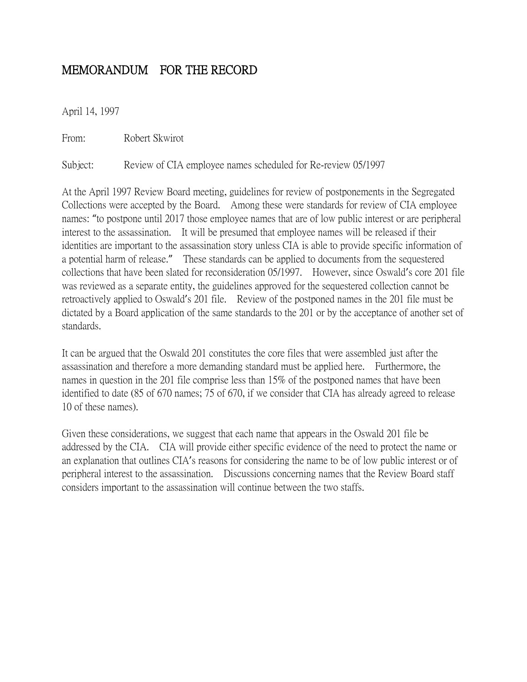## MEMORANDUM FOR THE RECORD

April 14, 1997

From: Robert Skwirot

Subject: Review of CIA employee names scheduled for Re-review 05/1997

At the April 1997 Review Board meeting, guidelines for review of postponements in the Segregated Collections were accepted by the Board. Among these were standards for review of CIA employee names: "to postpone until 2017 those employee names that are of low public interest or are peripheral interest to the assassination. It will be presumed that employee names will be released if their identities are important to the assassination story unless CIA is able to provide specific information of a potential harm of release." These standards can be applied to documents from the sequestered collections that have been slated for reconsideration 05/1997. However, since Oswald's core 201 file was reviewed as a separate entity, the guidelines approved for the sequestered collection cannot be retroactively applied to Oswald's 201 file. Review of the postponed names in the 201 file must be dictated by a Board application of the same standards to the 201 or by the acceptance of another set of standards.

It can be argued that the Oswald 201 constitutes the core files that were assembled just after the assassination and therefore a more demanding standard must be applied here. Furthermore, the names in question in the 201 file comprise less than 15% of the postponed names that have been identified to date (85 of 670 names; 75 of 670, if we consider that CIA has already agreed to release 10 of these names).

Given these considerations, we suggest that each name that appears in the Oswald 201 file be addressed by the CIA. CIA will provide either specific evidence of the need to protect the name or an explanation that outlines CIA's reasons for considering the name to be of low public interest or of peripheral interest to the assassination. Discussions concerning names that the Review Board staff considers important to the assassination will continue between the two staffs.